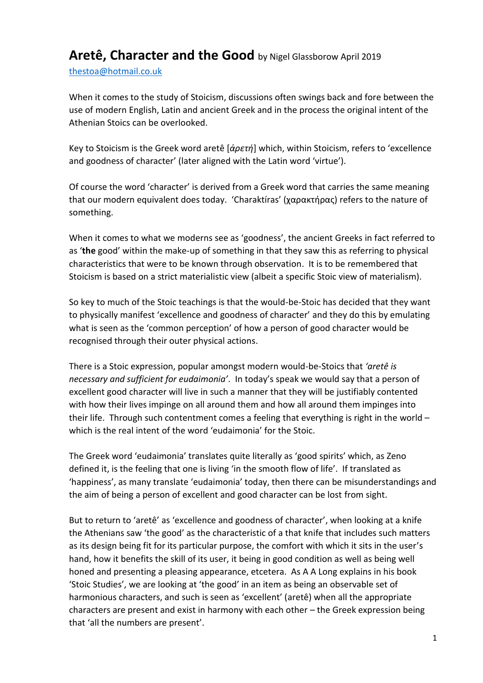## **Aretê, Character and the Good** by Nigel Glassborow April <sup>2019</sup>

[thestoa@hotmail.co.uk](mailto:thestoa@hotmail.co.uk) 

When it comes to the study of Stoicism, discussions often swings back and fore between the use of modern English, Latin and ancient Greek and in the process the original intent of the Athenian Stoics can be overlooked.

Key to Stoicism is the Greek word aretê [*ἀρετή*] which, within Stoicism, refers to 'excellence and goodness of character' (later aligned with the Latin word 'virtue').

Of course the word 'character' is derived from a Greek word that carries the same meaning that our modern equivalent does today. 'Charaktíras' (χαρακτήρας) refers to the nature of something.

When it comes to what we moderns see as 'goodness', the ancient Greeks in fact referred to as '**the** good' within the make-up of something in that they saw this as referring to physical characteristics that were to be known through observation. It is to be remembered that Stoicism is based on a strict materialistic view (albeit a specific Stoic view of materialism).

So key to much of the Stoic teachings is that the would-be-Stoic has decided that they want to physically manifest 'excellence and goodness of character' and they do this by emulating what is seen as the 'common perception' of how a person of good character would be recognised through their outer physical actions.

There is a Stoic expression, popular amongst modern would-be-Stoics that *'aretê is necessary and sufficient for eudaimonia'*. In today's speak we would say that a person of excellent good character will live in such a manner that they will be justifiably contented with how their lives impinge on all around them and how all around them impinges into their life. Through such contentment comes a feeling that everything is right in the world – which is the real intent of the word 'eudaimonia' for the Stoic.

The Greek word 'eudaimonia' translates quite literally as 'good spirits' which, as Zeno defined it, is the feeling that one is living 'in the smooth flow of life'. If translated as 'happiness', as many translate 'eudaimonia' today, then there can be misunderstandings and the aim of being a person of excellent and good character can be lost from sight.

But to return to 'aretê' as 'excellence and goodness of character', when looking at a knife the Athenians saw 'the good' as the characteristic of a that knife that includes such matters as its design being fit for its particular purpose, the comfort with which it sits in the user's hand, how it benefits the skill of its user, it being in good condition as well as being well honed and presenting a pleasing appearance, etcetera. As A A Long explains in his book 'Stoic Studies', we are looking at 'the good' in an item as being an observable set of harmonious characters, and such is seen as 'excellent' (aretê) when all the appropriate characters are present and exist in harmony with each other – the Greek expression being that 'all the numbers are present'.